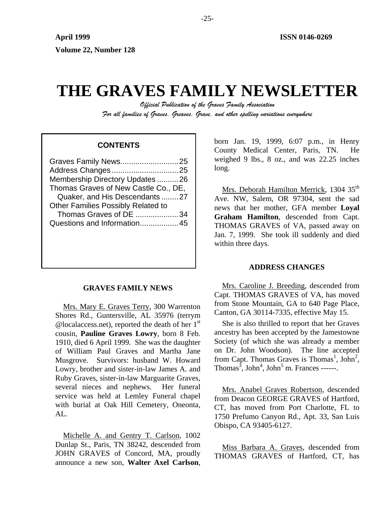# **THE GRAVES FAMILY NEWSLETTER**

*Official Publication of the Graves Family Association For all families of Graves, Greaves, Grave, and other spelling variations everywhere* 

## **CONTENTS**

| Graves Family News25                      |  |
|-------------------------------------------|--|
| Address Changes25                         |  |
| Membership Directory Updates 26           |  |
| Thomas Graves of New Castle Co., DE,      |  |
| Quaker, and His Descendants27             |  |
| <b>Other Families Possibly Related to</b> |  |
| Thomas Graves of DE 34                    |  |
| Questions and Information45               |  |
|                                           |  |
|                                           |  |
|                                           |  |

## **GRAVES FAMILY NEWS**

Mrs. Mary E. Graves Terry, 300 Warrenton Shores Rd., Guntersville, AL 35976 (terrym @localaccess.net), reported the death of her  $1<sup>st</sup>$ cousin, **Pauline Graves Lowry**, born 8 Feb. 1910, died 6 April 1999. She was the daughter of William Paul Graves and Martha Jane Musgrove. Survivors: husband W. Howard Lowry, brother and sister-in-law James A. and Ruby Graves, sister-in-law Marguarite Graves, several nieces and nephews. Her funeral service was held at Lemley Funeral chapel with burial at Oak Hill Cemetery, Oneonta, AL.

Michelle A. and Gentry T. Carlson, 1002 Dunlap St., Paris, TN 38242, descended from JOHN GRAVES of Concord, MA, proudly announce a new son, **Walter Axel Carlson**, born Jan. 19, 1999, 6:07 p.m., in Henry County Medical Center, Paris, TN. He weighed 9 lbs., 8 oz., and was 22.25 inches long.

Mrs. Deborah Hamilton Merrick, 1304 35<sup>th</sup> Ave. NW, Salem, OR 97304, sent the sad news that her mother, GFA member **Loyal Graham Hamilton**, descended from Capt. THOMAS GRAVES of VA, passed away on Jan. 7, 1999. She took ill suddenly and died within three days.

## **ADDRESS CHANGES**

Mrs. Caroline J. Breeding, descended from Capt. THOMAS GRAVES of VA, has moved from Stone Mountain, GA to 640 Page Place, Canton, GA 30114-7335, effective May 15.

She is also thrilled to report that her Graves ancestry has been accepted by the Jamestowne Society (of which she was already a member on Dr. John Woodson). The line accepted from Capt. Thomas Graves is Thomas<sup>1</sup>, John<sup>2</sup>, Thomas<sup>3</sup>, John<sup>4</sup>, John<sup>5</sup> m. Frances ------.

Mrs. Anabel Graves Robertson, descended from Deacon GEORGE GRAVES of Hartford, CT, has moved from Port Charlotte, FL to 1750 Prefumo Canyon Rd., Apt. 33, San Luis Obispo, CA 93405-6127.

Miss Barbara A. Graves, descended from THOMAS GRAVES of Hartford, CT, has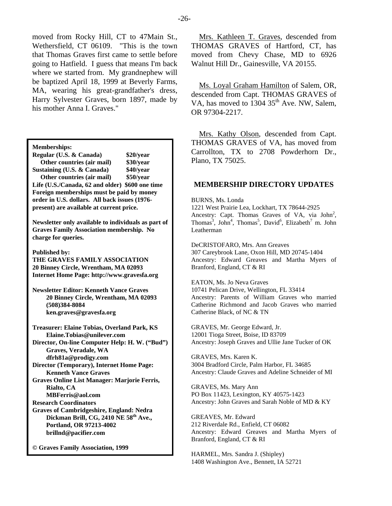moved from Rocky Hill, CT to 47Main St., Wethersfield, CT 06109. "This is the town that Thomas Graves first came to settle before going to Hatfield. I guess that means I'm back where we started from. My grandnephew will be baptized April 18, 1999 at Beverly Farms, MA, wearing his great-grandfather's dress, Harry Sylvester Graves, born 1897, made by his mother Anna I. Graves."

**Memberships:** 

**Regular (U.S. & Canada) \$20/year Other countries (air mail) \$30/year Sustaining (U.S. & Canada) \$40/year Other countries (air mail) \$50/year Life (U.S./Canada, 62 and older) \$600 one time Foreign memberships must be paid by money order in U.S. dollars. All back issues (1976 present) are available at current price.** 

**Newsletter only available to individuals as part of Graves Family Association membership. No charge for queries.** 

**Published by:** 

**THE GRAVES FAMILY ASSOCIATION 20 Binney Circle, Wrentham, MA 02093 Internet Home Page: http://www.gravesfa.org** 

**Newsletter Editor: Kenneth Vance Graves 20 Binney Circle, Wrentham, MA 02093 (508)384-8084 ken.graves@gravesfa.org** 

**Treasurer: Elaine Tobias, Overland Park, KS Elaine.Tobias@unilever.com Director, On-line Computer Help: H. W. ("Bud") Graves, Veradale, WA** 

 **dfrh81a@prodigy.com** 

**Director (Temporary), Internet Home Page: Kenneth Vance Graves** 

**Graves Online List Manager: Marjorie Ferris, Rialto, CA** 

 **MBFerris@aol.com** 

**Research Coordinators Graves of Cambridgeshire, England: Nedra Dickman Brill, CG, 2410 NE 58th Ave., Portland, OR 97213-4002 brillnd@pacifier.com** 

**© Graves Family Association, 1999**

Mrs. Kathleen T. Graves, descended from THOMAS GRAVES of Hartford, CT, has moved from Chevy Chase, MD to 6926 Walnut Hill Dr., Gainesville, VA 20155.

Ms. Loyal Graham Hamilton of Salem, OR, descended from Capt. THOMAS GRAVES of VA, has moved to  $130435<sup>th</sup>$  Ave. NW, Salem, OR 97304-2217.

Mrs. Kathy Olson, descended from Capt. THOMAS GRAVES of VA, has moved from Carrollton, TX to 2708 Powderhorn Dr., Plano, TX 75025.

## **MEMBERSHIP DIRECTORY UPDATES**

BURNS, Ms. Londa

1221 West Prairie Lea, Lockhart, TX 78644-2925 Ancestry: Capt. Thomas Graves of VA, via  $John<sup>2</sup>$ , Thomas<sup>3</sup>, John<sup>4</sup>, Thomas<sup>5</sup>, David<sup>6</sup>, Elizabeth<sup>7</sup> m. John Leatherman

DeCRISTOFARO, Mrs. Ann Greaves 307 Careybrook Lane, Oxon Hill, MD 20745-1404 Ancestry: Edward Greaves and Martha Myers of Branford, England, CT & RI

EATON, Ms. Jo Neva Graves 10741 Pelican Drive, Wellington, FL 33414 Ancestry: Parents of William Graves who married Catherine Richmond and Jacob Graves who married Catherine Black, of NC & TN

GRAVES, Mr. George Edward, Jr. 12001 Tioga Street, Boise, ID 83709 Ancestry: Joseph Graves and Ullie Jane Tucker of OK

GRAVES, Mrs. Karen K. 3004 Bradford Circle, Palm Harbor, FL 34685 Ancestry: Claude Graves and Adeline Schneider of MI

GRAVES, Ms. Mary Ann PO Box 11423, Lexington, KY 40575-1423 Ancestry: John Graves and Sarah Noble of MD & KY

GREAVES, Mr. Edward 212 Riverdale Rd., Enfield, CT 06082 Ancestry: Edward Greaves and Martha Myers of Branford, England, CT & RI

HARMEL, Mrs. Sandra J. (Shipley) 1408 Washington Ave., Bennett, IA 52721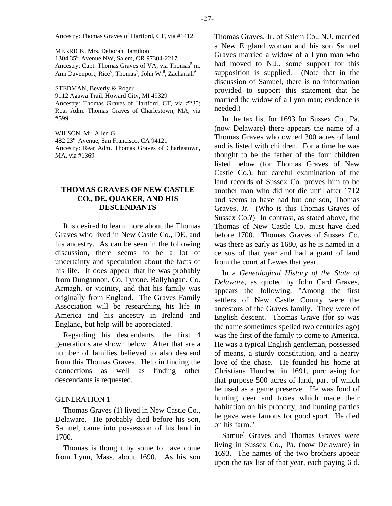MERRICK, Mrs. Deborah Hamilton 1304 35th Avenue NW, Salem, OR 97304-2217 Ancestry: Capt. Thomas Graves of VA, via Thomas<sup>5</sup> m. Ann Davenport, Rice<sup>6</sup>, Thomas<sup>7</sup>, John W.<sup>8</sup>, Zachariah<sup>9</sup>

STEDMAN, Beverly & Roger

9112 Agawa Trail, Howard City, MI 49329 Ancestry: Thomas Graves of Hartford, CT, via #235;

Rear Adm. Thomas Graves of Charlestown, MA, via #599

WILSON, Mr. Allen G. 482 23rd Avenue, San Francisco, CA 94121 Ancestry: Rear Adm. Thomas Graves of Charlestown, MA, via #1369

## **THOMAS GRAVES OF NEW CASTLE CO., DE, QUAKER, AND HIS DESCENDANTS**

It is desired to learn more about the Thomas Graves who lived in New Castle Co., DE, and his ancestry. As can be seen in the following discussion, there seems to be a lot of uncertainty and speculation about the facts of his life. It does appear that he was probably from Dungannon, Co. Tyrone, Ballyhagan, Co. Armagh, or vicinity, and that his family was originally from England. The Graves Family Association will be researching his life in America and his ancestry in Ireland and England, but help will be appreciated.

Regarding his descendants, the first 4 generations are shown below. After that are a number of families believed to also descend from this Thomas Graves. Help in finding the connections as well as finding other descendants is requested.

#### GENERATION 1

Thomas Graves (1) lived in New Castle Co., Delaware. He probably died before his son, Samuel, came into possession of his land in 1700.

Thomas is thought by some to have come from Lynn, Mass. about 1690. As his son

Thomas Graves, Jr. of Salem Co., N.J. married a New England woman and his son Samuel Graves married a widow of a Lynn man who had moved to N.J., some support for this supposition is supplied. (Note that in the discussion of Samuel, there is no information provided to support this statement that he married the widow of a Lynn man; evidence is needed.)

In the tax list for 1693 for Sussex Co., Pa. (now Delaware) there appears the name of a Thomas Graves who owned 300 acres of land and is listed with children. For a time he was thought to be the father of the four children listed below (for Thomas Graves of New Castle Co.), but careful examination of the land records of Sussex Co. proves him to be another man who did not die until after 1712 and seems to have had but one son, Thomas Graves, Jr. (Who is this Thomas Graves of Sussex Co.?) In contrast, as stated above, the Thomas of New Castle Co. must have died before 1700. Thomas Graves of Sussex Co. was there as early as 1680, as he is named in a census of that year and had a grant of land from the court at Lewes that year.

In a *Genealogical History of the State of Delaware*, as quoted by John Card Graves, appears the following. "Among the first settlers of New Castle County were the ancestors of the Graves family. They were of English descent. Thomas Grave (for so was the name sometimes spelled two centuries ago) was the first of the family to come to America. He was a typical English gentleman, possessed of means, a sturdy constitution, and a hearty love of the chase. He founded his home at Christiana Hundred in 1691, purchasing for that purpose 500 acres of land, part of which he used as a game preserve. He was fond of hunting deer and foxes which made their habitation on his property, and hunting parties he gave were famous for good sport. He died on his farm."

Samuel Graves and Thomas Graves were living in Sussex Co., Pa. (now Delaware) in 1693. The names of the two brothers appear upon the tax list of that year, each paying 6 d.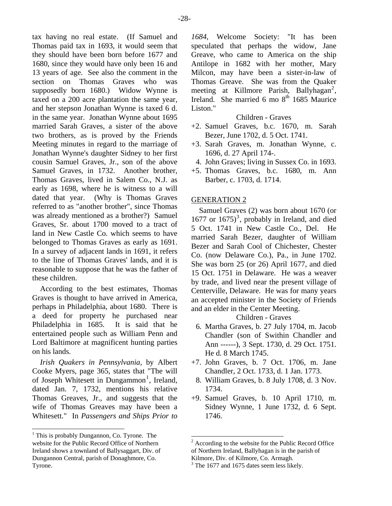tax having no real estate. (If Samuel and Thomas paid tax in 1693, it would seem that they should have been born before 1677 and 1680, since they would have only been 16 and 13 years of age. See also the comment in the section on Thomas Graves who was supposedly born 1680.) Widow Wynne is taxed on a 200 acre plantation the same year, and her stepson Jonathan Wynne is taxed 6 d. in the same year. Jonathan Wynne about 1695 married Sarah Graves, a sister of the above two brothers, as is proved by the Friends Meeting minutes in regard to the marriage of Jonathan Wynne's daughter Sidney to her first cousin Samuel Graves, Jr., son of the above Samuel Graves, in 1732. Another brother, Thomas Graves, lived in Salem Co., N.J. as early as 1698, where he is witness to a will dated that year. (Why is Thomas Graves referred to as "another brother", since Thomas was already mentioned as a brother?) Samuel Graves, Sr. about 1700 moved to a tract of land in New Castle Co. which seems to have belonged to Thomas Graves as early as 1691. In a survey of adjacent lands in 1691, it refers to the line of Thomas Graves' lands, and it is reasonable to suppose that he was the father of these children.

According to the best estimates, Thomas Graves is thought to have arrived in America, perhaps in Philadelphia, about 1680. There is a deed for property he purchased near Philadelphia in 1685. It is said that he entertained people such as William Penn and Lord Baltimore at magnificent hunting parties on his lands.

*Irish Quakers in Pennsylvania*, by Albert Cooke Myers, page 365, states that "The will of Joseph Whitesett in Dungammon<sup>[1](#page-3-0)</sup>, Ireland, dated Jan. 7, 1732, mentions his relative Thomas Greaves, Jr., and suggests that the wife of Thomas Greaves may have been a Whitesett." In *Passengers and Ships Prior to* 

*1684*, Welcome Society: "It has been speculated that perhaps the widow, Jane Greave, who came to America on the ship Antilope in 1682 with her mother, Mary Milcon, may have been a sister-in-law of Thomas Greave. She was from the Quaker meeting at Killmore Parish, Ballyhagan<sup>[2](#page-3-1)</sup>, Ireland. She married 6 mo 8<sup>th</sup> 1685 Maurice Liston."

# Children - Graves

- +2. Samuel Graves, b.c. 1670, m. Sarah Bezer, June 1702, d. 5 Oct. 1741.
- +3. Sarah Graves, m. Jonathan Wynne, c. 1696, d. 27 April 174-.
	- 4. John Graves; living in Sussex Co. in 1693.
- +5. Thomas Graves, b.c. 1680, m. Ann Barber, c. 1703, d. 1714.

# GENERATION 2

Samuel Graves (2) was born about 1670 (or  $1677$  or  $1675$ <sup>[3](#page-3-2)</sup>, probably in Ireland, and died 5 Oct. 1741 in New Castle Co., Del. He married Sarah Bezer, daughter of William Bezer and Sarah Cool of Chichester, Chester Co. (now Delaware Co.), Pa., in June 1702. She was born 25 (or 26) April 1677, and died 15 Oct. 1751 in Delaware. He was a weaver by trade, and lived near the present village of Centerville, Delaware. He was for many years an accepted minister in the Society of Friends and an elder in the Center Meeting.

# Children - Graves

- 6. Martha Graves, b. 27 July 1704, m. Jacob Chandler (son of Swithin Chandler and Ann ------), 3 Sept. 1730, d. 29 Oct. 1751. He d. 8 March 1745.
- +7. John Graves, b. 7 Oct. 1706, m. Jane Chandler, 2 Oct. 1733, d. 1 Jan. 1773.
- 8. William Graves, b. 8 July 1708, d. 3 Nov. 1734.
- +9. Samuel Graves, b. 10 April 1710, m. Sidney Wynne, 1 June 1732, d. 6 Sept. 1746.

<span id="page-3-2"></span><span id="page-3-1"></span><span id="page-3-0"></span><sup>&</sup>lt;sup>1</sup> This is probably Dungannon, Co. Tyrone. The website for the Public Record Office of Northern Ireland shows a townland of Ballysaggart, Div. of Dungannon Central, parish of Donaghmore, Co. Tyrone.

 $2^2$  According to the website for the Public Record Office of Northern Ireland, Ballyhagan is in the parish of Kilmore, Div. of Kilmore, Co. Armagh.

<sup>&</sup>lt;sup>3</sup> The 1677 and 1675 dates seem less likely.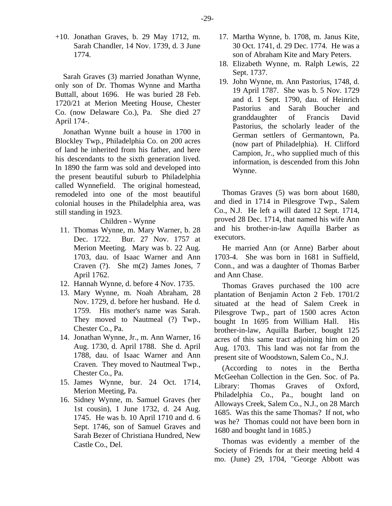+10. Jonathan Graves, b. 29 May 1712, m. Sarah Chandler, 14 Nov. 1739, d. 3 June 1774.

Sarah Graves (3) married Jonathan Wynne, only son of Dr. Thomas Wynne and Martha Buttall, about 1696. He was buried 28 Feb. 1720/21 at Merion Meeting House, Chester Co. (now Delaware Co.), Pa. She died 27 April 174-.

Jonathan Wynne built a house in 1700 in Blockley Twp., Philadelphia Co. on 200 acres of land he inherited from his father, and here his descendants to the sixth generation lived. In 1890 the farm was sold and developed into the present beautiful suburb to Philadelphia called Wynnefield. The original homestead, remodeled into one of the most beautiful colonial houses in the Philadelphia area, was still standing in 1923.

#### Children - Wynne

- 11. Thomas Wynne, m. Mary Warner, b. 28 Dec. 1722. Bur. 27 Nov. 1757 at Merion Meeting. Mary was b. 22 Aug. 1703, dau. of Isaac Warner and Ann Craven (?). She m(2) James Jones, 7 April 1762.
- 12. Hannah Wynne, d. before 4 Nov. 1735.
- 13. Mary Wynne, m. Noah Abraham, 28 Nov. 1729, d. before her husband. He d. 1759. His mother's name was Sarah. They moved to Nautmeal (?) Twp., Chester Co., Pa.
- 14. Jonathan Wynne, Jr., m. Ann Warner, 16 Aug. 1730, d. April 1788. She d. April 1788, dau. of Isaac Warner and Ann Craven. They moved to Nautmeal Twp., Chester Co., Pa.
- 15. James Wynne, bur. 24 Oct. 1714, Merion Meeting, Pa.
- 16. Sidney Wynne, m. Samuel Graves (her 1st cousin), 1 June 1732, d. 24 Aug. 1745. He was b. 10 April 1710 and d. 6 Sept. 1746, son of Samuel Graves and Sarah Bezer of Christiana Hundred, New Castle Co., Del.
- 17. Martha Wynne, b. 1708, m. Janus Kite, 30 Oct. 1741, d. 29 Dec. 1774. He was a son of Abraham Kite and Mary Peters.
- 18. Elizabeth Wynne, m. Ralph Lewis, 22 Sept. 1737.
- 19. John Wynne, m. Ann Pastorius, 1748, d. 19 April 1787. She was b. 5 Nov. 1729 and d. 1 Sept. 1790, dau. of Heinrich Pastorius and Sarah Boucher and granddaughter of Francis David Pastorius, the scholarly leader of the German settlers of Germantown, Pa. (now part of Philadelphia). H. Clifford Campion, Jr., who supplied much of this information, is descended from this John Wynne.

Thomas Graves (5) was born about 1680, and died in 1714 in Pilesgrove Twp., Salem Co., N.J. He left a will dated 12 Sept. 1714, proved 28 Dec. 1714, that named his wife Ann and his brother-in-law Aquilla Barber as executors.

He married Ann (or Anne) Barber about 1703-4. She was born in 1681 in Suffield, Conn., and was a daughter of Thomas Barber and Ann Chase.

Thomas Graves purchased the 100 acre plantation of Benjamin Acton 2 Feb. 1701/2 situated at the head of Salem Creek in Pilesgrove Twp., part of 1500 acres Acton bought 1n 1695 from William Hall. His brother-in-law, Aquilla Barber, bought 125 acres of this same tract adjoining him on 20 Aug. 1703. This land was not far from the present site of Woodstown, Salem Co., N.J.

(According to notes in the Bertha McGeehan Collection in the Gen. Soc. of Pa. Library: Thomas Graves of Oxford, Philadelphia Co., Pa., bought land on Alloways Creek, Salem Co., N.J., on 28 March 1685. Was this the same Thomas? If not, who was he? Thomas could not have been born in 1680 and bought land in 1685.)

Thomas was evidently a member of the Society of Friends for at their meeting held 4 mo. (June) 29, 1704, "George Abbott was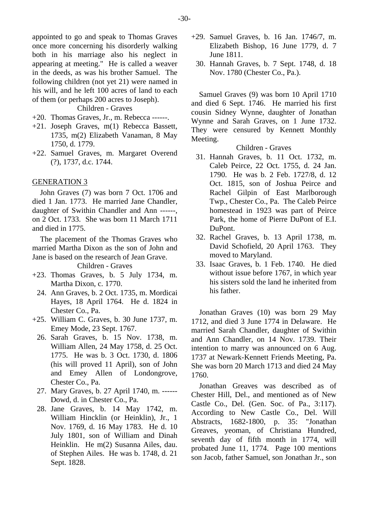appointed to go and speak to Thomas Graves once more concerning his disorderly walking both in his marriage also his neglect in appearing at meeting." He is called a weaver in the deeds, as was his brother Samuel. The following children (not yet 21) were named in his will, and he left 100 acres of land to each of them (or perhaps 200 acres to Joseph).

## Children - Graves

- +20. Thomas Graves, Jr., m. Rebecca ------.
- +21. Joseph Graves, m(1) Rebecca Bassett, 1735, m(2) Elizabeth Vanaman, 8 May 1750, d. 1779.
- +22. Samuel Graves, m. Margaret Overend (?), 1737, d.c. 1744.

#### GENERATION 3

John Graves (7) was born 7 Oct. 1706 and died 1 Jan. 1773. He married Jane Chandler, daughter of Swithin Chandler and Ann ------, on 2 Oct. 1733. She was born 11 March 1711 and died in 1775.

The placement of the Thomas Graves who married Martha Dixon as the son of John and Jane is based on the research of Jean Grave.

Children - Graves

- +23. Thomas Graves, b. 5 July 1734, m. Martha Dixon, c. 1770.
	- 24. Ann Graves, b. 2 Oct. 1735, m. Mordicai Hayes, 18 April 1764. He d. 1824 in Chester Co., Pa.
- +25. William C. Graves, b. 30 June 1737, m. Emey Mode, 23 Sept. 1767.
	- 26. Sarah Graves, b. 15 Nov. 1738, m. William Allen, 24 May 1758, d. 25 Oct. 1775. He was b. 3 Oct. 1730, d. 1806 (his will proved 11 April), son of John and Emey Allen of Londongrove, Chester Co., Pa.
	- 27. Mary Graves, b. 27 April 1740, m. ------ Dowd, d. in Chester Co., Pa.
	- 28. Jane Graves, b. 14 May 1742, m. William Hincklin (or Heinklin), Jr., 1 Nov. 1769, d. 16 May 1783. He d. 10 July 1801, son of William and Dinah Heinklin. He m(2) Susanna Ailes, dau. of Stephen Ailes. He was b. 1748, d. 21 Sept. 1828.
- +29. Samuel Graves, b. 16 Jan. 1746/7, m. Elizabeth Bishop, 16 June 1779, d. 7 June 1811.
	- 30. Hannah Graves, b. 7 Sept. 1748, d. 18 Nov. 1780 (Chester Co., Pa.).

Samuel Graves (9) was born 10 April 1710 and died 6 Sept. 1746. He married his first cousin Sidney Wynne, daughter of Jonathan Wynne and Sarah Graves, on 1 June 1732. They were censured by Kennett Monthly Meeting.

## Children - Graves

- 31. Hannah Graves, b. 11 Oct. 1732, m. Caleb Peirce, 22 Oct. 1755, d. 24 Jan. 1790. He was b. 2 Feb. 1727/8, d. 12 Oct. 1815, son of Joshua Peirce and Rachel Gilpin of East Marlborough Twp., Chester Co., Pa. The Caleb Peirce homestead in 1923 was part of Peirce Park, the home of Pierre DuPont of E.I. DuPont.
- 32. Rachel Graves, b. 13 April 1738, m. David Schofield, 20 April 1763. They moved to Maryland.
- 33. Isaac Graves, b. 1 Feb. 1740. He died without issue before 1767, in which year his sisters sold the land he inherited from his father.

Jonathan Graves (10) was born 29 May 1712, and died 3 June 1774 in Delaware. He married Sarah Chandler, daughter of Swithin and Ann Chandler, on 14 Nov. 1739. Their intention to marry was announced on 6 Aug. 1737 at Newark-Kennett Friends Meeting, Pa. She was born 20 March 1713 and died 24 May 1760.

Jonathan Greaves was described as of Chester Hill, Del., and mentioned as of New Castle Co., Del. (Gen. Soc. of Pa., 3:117). According to New Castle Co., Del. Will Abstracts, 1682-1800, p. 35: "Jonathan Greaves, yeoman, of Christiana Hundred, seventh day of fifth month in 1774, will probated June 11, 1774. Page 100 mentions son Jacob, father Samuel, son Jonathan Jr., son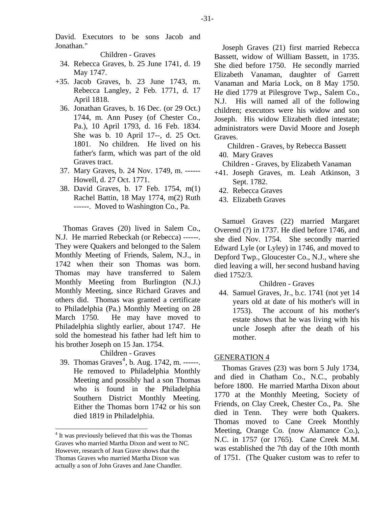David. Executors to be sons Jacob and Jonathan."

Children - Graves

- 34. Rebecca Graves, b. 25 June 1741, d. 19 May 1747.
- +35. Jacob Graves, b. 23 June 1743, m. Rebecca Langley, 2 Feb. 1771, d. 17 April 1818.
	- 36. Jonathan Graves, b. 16 Dec. (or 29 Oct.) 1744, m. Ann Pusey (of Chester Co., Pa.), 10 April 1793, d. 16 Feb. 1834. She was b. 10 April 17--, d. 25 Oct. 1801. No children. He lived on his father's farm, which was part of the old Graves tract.
	- 37. Mary Graves, b. 24 Nov. 1749, m. ------ Howell, d. 27 Oct. 1771.
	- 38. David Graves, b. 17 Feb. 1754, m(1) Rachel Battin, 18 May 1774, m(2) Ruth ------. Moved to Washington Co., Pa.

Thomas Graves (20) lived in Salem Co., N.J. He married Rebeckah (or Rebecca) ------. They were Quakers and belonged to the Salem Monthly Meeting of Friends, Salem, N.J., in 1742 when their son Thomas was born. Thomas may have transferred to Salem Monthly Meeting from Burlington (N.J.) Monthly Meeting, since Richard Graves and others did. Thomas was granted a certificate to Philadelphia (Pa.) Monthly Meeting on 28 March 1750. He may have moved to Philadelphia slightly earlier, about 1747. He sold the homestead his father had left him to his brother Joseph on 15 Jan. 1754.

Children - Graves

39. Thomas Graves<sup>[4](#page-6-0)</sup>, b. Aug. 1742, m. ------. He removed to Philadelphia Monthly Meeting and possibly had a son Thomas who is found in the Philadelphia Southern District Monthly Meeting. Either the Thomas born 1742 or his son died 1819 in Philadelphia.

Joseph Graves (21) first married Rebecca Bassett, widow of William Bassett, in 1735. She died before 1750. He secondly married Elizabeth Vanaman, daughter of Garrett Vanaman and Maria Lock, on 8 May 1750. He died 1779 at Pilesgrove Twp., Salem Co., N.J. His will named all of the following children; executors were his widow and son Joseph. His widow Elizabeth died intestate; administrators were David Moore and Joseph Graves.

Children - Graves, by Rebecca Bassett 40. Mary Graves

Children - Graves, by Elizabeth Vanaman

- +41. Joseph Graves, m. Leah Atkinson, 3 Sept. 1782.
	- 42. Rebecca Graves
	- 43. Elizabeth Graves

Samuel Graves (22) married Margaret Overend (?) in 1737. He died before 1746, and she died Nov. 1754. She secondly married Edward Lyle (or Lyley) in 1746, and moved to Depford Twp., Gloucester Co., N.J., where she died leaving a will, her second husband having died 1752/3.

Children - Graves

 44. Samuel Graves, Jr., b.c. 1741 (not yet 14 years old at date of his mother's will in 1753). The account of his mother's estate shows that he was living with his uncle Joseph after the death of his mother.

#### GENERATION 4

Thomas Graves (23) was born 5 July 1734, and died in Chatham Co., N.C., probably before 1800. He married Martha Dixon about 1770 at the Monthly Meeting, Society of Friends, on Clay Creek, Chester Co., Pa. She died in Tenn. They were both Quakers. Thomas moved to Cane Creek Monthly Meeting, Orange Co. (now Alamance Co.), N.C. in 1757 (or 1765). Cane Creek M.M. was established the 7th day of the 10th month of 1751. (The Quaker custom was to refer to

<span id="page-6-0"></span><sup>&</sup>lt;sup>4</sup> It was previously believed that this was the Thomas Graves who married Martha Dixon and went to NC. However, research of Jean Grave shows that the Thomas Graves who married Martha Dixon was actually a son of John Graves and Jane Chandler.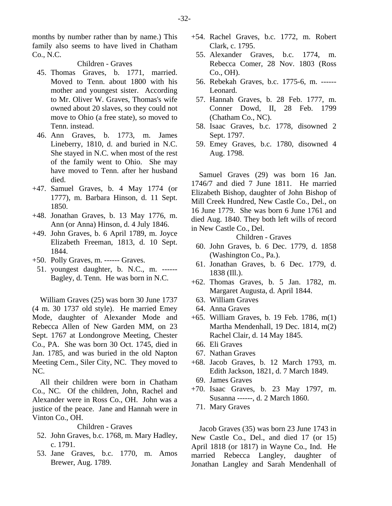months by number rather than by name.) This family also seems to have lived in Chatham Co., N.C.

Children - Graves

- 45. Thomas Graves, b. 1771, married. Moved to Tenn. about 1800 with his mother and youngest sister. According to Mr. Oliver W. Graves, Thomas's wife owned about 20 slaves, so they could not move to Ohio (a free state), so moved to Tenn. instead.
- 46. Ann Graves, b. 1773, m. James Lineberry, 1810, d. and buried in N.C. She stayed in N.C. when most of the rest of the family went to Ohio. She may have moved to Tenn. after her husband died.
- +47. Samuel Graves, b. 4 May 1774 (or 1777), m. Barbara Hinson, d. 11 Sept. 1850.
- +48. Jonathan Graves, b. 13 May 1776, m. Ann (or Anna) Hinson, d. 4 July 1846.
- +49. John Graves, b. 6 April 1789, m. Joyce Elizabeth Freeman, 1813, d. 10 Sept. 1844.
- +50. Polly Graves, m. ------ Graves.
- 51. youngest daughter, b. N.C., m. ------ Bagley, d. Tenn. He was born in N.C.

William Graves (25) was born 30 June 1737 (4 m. 30 1737 old style). He married Emey Mode, daughter of Alexander Mode and Rebecca Allen of New Garden MM, on 23 Sept. 1767 at Londongrove Meeting, Chester Co., PA. She was born 30 Oct. 1745, died in Jan. 1785, and was buried in the old Napton Meeting Cem., Siler City, NC. They moved to NC.

All their children were born in Chatham Co., NC. Of the children, John, Rachel and Alexander were in Ross Co., OH. John was a justice of the peace. Jane and Hannah were in Vinton Co., OH.

Children - Graves

- 52. John Graves, b.c. 1768, m. Mary Hadley, c. 1791.
- 53. Jane Graves, b.c. 1770, m. Amos Brewer, Aug. 1789.
- +54. Rachel Graves, b.c. 1772, m. Robert Clark, c. 1795.
	- 55. Alexander Graves, b.c. 1774, m. Rebecca Comer, 28 Nov. 1803 (Ross Co., OH).
	- 56. Rebekah Graves, b.c. 1775-6, m. ------ Leonard.
	- 57. Hannah Graves, b. 28 Feb. 1777, m. Conner Dowd, II, 28 Feb. 1799 (Chatham Co., NC).
	- 58. Isaac Graves, b.c. 1778, disowned 2 Sept. 1797.
	- 59. Emey Graves, b.c. 1780, disowned 4 Aug. 1798.

Samuel Graves (29) was born 16 Jan. 1746/7 and died 7 June 1811. He married Elizabeth Bishop, daughter of John Bishop of Mill Creek Hundred, New Castle Co., Del., on 16 June 1779. She was born 6 June 1761 and died Aug. 1840. They both left wills of record in New Castle Co., Del.

Children - Graves

- 60. John Graves, b. 6 Dec. 1779, d. 1858 (Washington Co., Pa.).
- 61. Jonathan Graves, b. 6 Dec. 1779, d. 1838 (Ill.).
- +62. Thomas Graves, b. 5 Jan. 1782, m. Margaret Augusta, d. April 1844.
	- 63. William Graves
	- 64. Anna Graves
- +65. William Graves, b. 19 Feb. 1786, m(1) Martha Mendenhall, 19 Dec. 1814, m(2) Rachel Clair, d. 14 May 1845.
- 66. Eli Graves
- 67. Nathan Graves
- +68. Jacob Graves, b. 12 March 1793, m. Edith Jackson, 1821, d. 7 March 1849.
- 69. James Graves
- +70. Isaac Graves, b. 23 May 1797, m. Susanna ------, d. 2 March 1860.
	- 71. Mary Graves

Jacob Graves (35) was born 23 June 1743 in New Castle Co., Del., and died 17 (or 15) April 1818 (or 1817) in Wayne Co., Ind. He married Rebecca Langley, daughter of Jonathan Langley and Sarah Mendenhall of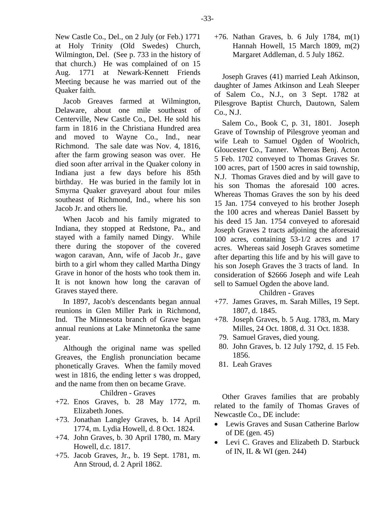New Castle Co., Del., on 2 July (or Feb.) 1771 at Holy Trinity (Old Swedes) Church, Wilmington, Del. (See p. 733 in the history of that church.) He was complained of on 15 Aug. 1771 at Newark-Kennett Friends Meeting because he was married out of the Quaker faith.

Jacob Greaves farmed at Wilmington, Delaware, about one mile southeast of Centerville, New Castle Co., Del. He sold his farm in 1816 in the Christiana Hundred area and moved to Wayne Co., Ind., near Richmond. The sale date was Nov. 4, 1816, after the farm growing season was over. He died soon after arrival in the Quaker colony in Indiana just a few days before his 85th birthday. He was buried in the family lot in Smyrna Quaker graveyard about four miles southeast of Richmond, Ind., where his son Jacob Jr. and others lie.

When Jacob and his family migrated to Indiana, they stopped at Redstone, Pa., and stayed with a family named Dingy. While there during the stopover of the covered wagon caravan, Ann, wife of Jacob Jr., gave birth to a girl whom they called Martha Dingy Grave in honor of the hosts who took them in. It is not known how long the caravan of Graves stayed there.

In 1897, Jacob's descendants began annual reunions in Glen Miller Park in Richmond, Ind. The Minnesota branch of Grave began annual reunions at Lake Minnetonka the same year.

Although the original name was spelled Greaves, the English pronunciation became phonetically Graves. When the family moved west in 1816, the ending letter s was dropped, and the name from then on became Grave.

Children - Graves

- +72. Enos Graves, b. 28 May 1772, m. Elizabeth Jones.
- +73. Jonathan Langley Graves, b. 14 April 1774, m. Lydia Howell, d. 8 Oct. 1824.
- +74. John Graves, b. 30 April 1780, m. Mary Howell, d.c. 1817.
- +75. Jacob Graves, Jr., b. 19 Sept. 1781, m. Ann Stroud, d. 2 April 1862.

+76. Nathan Graves, b. 6 July 1784, m(1) Hannah Howell, 15 March 1809, m(2) Margaret Addleman, d. 5 July 1862.

Joseph Graves (41) married Leah Atkinson, daughter of James Atkinson and Leah Sleeper of Salem Co., N.J., on 3 Sept. 1782 at Pilesgrove Baptist Church, Dautown, Salem Co., N.J.

Salem Co., Book C, p. 31, 1801. Joseph Grave of Township of Pilesgrove yeoman and wife Leah to Samuel Ogden of Woolrich, Gloucester Co., Tanner. Whereas Benj. Acton 5 Feb. 1702 conveyed to Thomas Graves Sr. 100 acres, part of 1500 acres in said township, N.J. Thomas Graves died and by will gave to his son Thomas the aforesaid 100 acres. Whereas Thomas Graves the son by his deed 15 Jan. 1754 conveyed to his brother Joseph the 100 acres and whereas Daniel Bassett by his deed 15 Jan. 1754 conveyed to aforesaid Joseph Graves 2 tracts adjoining the aforesaid 100 acres, containing 53-1/2 acres and 17 acres. Whereas said Joseph Graves sometime after departing this life and by his will gave to his son Joseph Graves the 3 tracts of land. In consideration of \$2666 Joseph and wife Leah sell to Samuel Ogden the above land.

Children - Graves

- +77. James Graves, m. Sarah Milles, 19 Sept. 1807, d. 1845.
- +78. Joseph Graves, b. 5 Aug. 1783, m. Mary Milles, 24 Oct. 1808, d. 31 Oct. 1838.
- 79. Samuel Graves, died young.
- 80. John Graves, b. 12 July 1792, d. 15 Feb. 1856.
- 81. Leah Graves

Other Graves families that are probably related to the family of Thomas Graves of Newcastle Co., DE include:

- Lewis Graves and Susan Catherine Barlow of DE (gen. 45)
- Levi C. Graves and Elizabeth D. Starbuck of IN, IL & WI (gen. 244)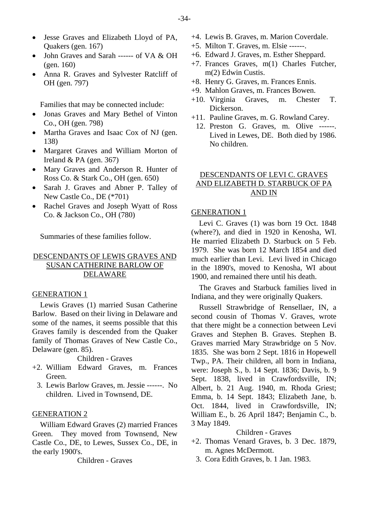- Jesse Graves and Elizabeth Lloyd of PA, Quakers (gen. 167)
- John Graves and Sarah ------ of VA & OH (gen. 160)
- Anna R. Graves and Sylvester Ratcliff of OH (gen. 797)

Families that may be connected include:

- Jonas Graves and Mary Bethel of Vinton Co., OH (gen. 798)
- Martha Graves and Isaac Cox of NJ (gen. 138)
- Margaret Graves and William Morton of Ireland  $& PA$  (gen. 367)
- Mary Graves and Anderson R. Hunter of Ross Co. & Stark Co., OH (gen. 650)
- Sarah J. Graves and Abner P. Talley of New Castle Co., DE (\*701)
- Rachel Graves and Joseph Wyatt of Ross Co. & Jackson Co., OH (780)

Summaries of these families follow.

## DESCENDANTS OF LEWIS GRAVES AND SUSAN CATHERINE BARLOW OF DELAWARE

#### GENERATION 1

Lewis Graves (1) married Susan Catherine Barlow. Based on their living in Delaware and some of the names, it seems possible that this Graves family is descended from the Quaker family of Thomas Graves of New Castle Co., Delaware (gen. 85).

Children - Graves

- +2. William Edward Graves, m. Frances Green.
	- 3. Lewis Barlow Graves, m. Jessie ------. No children. Lived in Townsend, DE.

## GENERATION 2

William Edward Graves (2) married Frances Green. They moved from Townsend, New Castle Co., DE, to Lewes, Sussex Co., DE, in the early 1900's.

Children - Graves

- +4. Lewis B. Graves, m. Marion Coverdale.
- +5. Milton T. Graves, m. Elsie ------.
- +6. Edward J. Graves, m. Esther Sheppard.
- +7. Frances Graves, m(1) Charles Futcher, m(2) Edwin Custis.
- +8. Henry G. Graves, m. Frances Ennis.
- +9. Mahlon Graves, m. Frances Bowen.
- +10. Virginia Graves, m. Chester T. Dickerson.
- +11. Pauline Graves, m. G. Rowland Carey.
	- 12. Preston G. Graves, m. Olive ------. Lived in Lewes, DE. Both died by 1986. No children.

## DESCENDANTS OF LEVI C. GRAVES AND ELIZABETH D. STARBUCK OF PA AND IN

## GENERATION 1

Levi C. Graves (1) was born 19 Oct. 1848 (where?), and died in 1920 in Kenosha, WI. He married Elizabeth D. Starbuck on 5 Feb. 1979. She was born 12 March 1854 and died much earlier than Levi. Levi lived in Chicago in the 1890's, moved to Kenosha, WI about 1900, and remained there until his death.

The Graves and Starbuck families lived in Indiana, and they were originally Quakers.

Russell Strawbridge of Rensellaer, IN, a second cousin of Thomas V. Graves, wrote that there might be a connection between Levi Graves and Stephen B. Graves. Stephen B. Graves married Mary Strawbridge on 5 Nov. 1835. She was born 2 Sept. 1816 in Hopewell Twp., PA. Their children, all born in Indiana, were: Joseph S., b. 14 Sept. 1836; Davis, b. 9 Sept. 1838, lived in Crawfordsville, IN; Albert, b. 21 Aug. 1940, m. Rhoda Griest; Emma, b. 14 Sept. 1843; Elizabeth Jane, b. Oct. 1844, lived in Crawfordsville, IN; William E., b. 26 April 1847; Benjamin C., b. 3 May 1849.

## Children - Graves

- +2. Thomas Venard Graves, b. 3 Dec. 1879, m. Agnes McDermott.
	- 3. Cora Edith Graves, b. 1 Jan. 1983.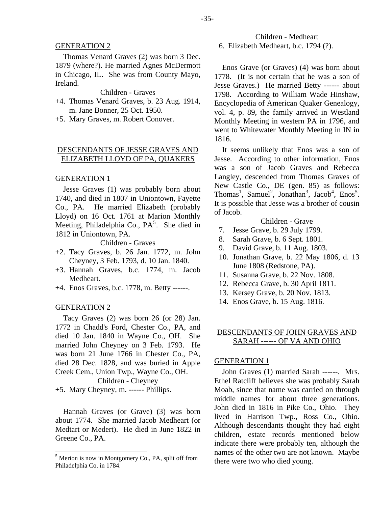Thomas Venard Graves (2) was born 3 Dec. 1879 (where?). He married Agnes McDermott in Chicago, IL. She was from County Mayo, Ireland.

Children - Graves

- +4. Thomas Venard Graves, b. 23 Aug. 1914, m. Jane Bonner, 25 Oct. 1950.
- +5. Mary Graves, m. Robert Conover.

## DESCENDANTS OF JESSE GRAVES AND ELIZABETH LLOYD OF PA, QUAKERS

#### GENERATION 1

Jesse Graves (1) was probably born about 1740, and died in 1807 in Uniontown, Fayette Co., PA. He married Elizabeth (probably Lloyd) on 16 Oct. 1761 at Marion Monthly Meeting, Philadelphia Co.,  $PA<sup>5</sup>$  $PA<sup>5</sup>$  $PA<sup>5</sup>$ . She died in 1812 in Uniontown, PA.

Children - Graves

- +2. Tacy Graves, b. 26 Jan. 1772, m. John Cheyney, 3 Feb. 1793, d. 10 Jan. 1840.
- +3. Hannah Graves, b.c. 1774, m. Jacob Medheart.
- +4. Enos Graves, b.c. 1778, m. Betty ------.

#### GENERATION 2

Tacy Graves (2) was born 26 (or 28) Jan. 1772 in Chadd's Ford, Chester Co., PA, and died 10 Jan. 1840 in Wayne Co., OH. She married John Cheyney on 3 Feb. 1793. He was born 21 June 1766 in Chester Co., PA, died 28 Dec. 1828, and was buried in Apple Creek Cem., Union Twp., Wayne Co., OH.

Children - Cheyney

+5. Mary Cheyney, m. ------ Phillips.

Hannah Graves (or Grave) (3) was born about 1774. She married Jacob Medheart (or Medtart or Medert). He died in June 1822 in Greene Co., PA.

6. Elizabeth Medheart, b.c. 1794 (?).

Children - Medheart

Enos Grave (or Graves) (4) was born about 1778. (It is not certain that he was a son of Jesse Graves.) He married Betty ------ about 1798. According to William Wade Hinshaw, Encyclopedia of American Quaker Genealogy, vol. 4, p. 89, the family arrived in Westland Monthly Meeting in western PA in 1796, and went to Whitewater Monthly Meeting in IN in 1816.

It seems unlikely that Enos was a son of Jesse. According to other information, Enos was a son of Jacob Graves and Rebecca Langley, descended from Thomas Graves of New Castle Co., DE (gen. 85) as follows: Thomas<sup>1</sup>, Samuel<sup>2</sup>, Jonathan<sup>3</sup>, Jacob<sup>4</sup>, Enos<sup>5</sup>. It is possible that Jesse was a brother of cousin of Jacob.

## Children - Grave

- 7. Jesse Grave, b. 29 July 1799.
- 8. Sarah Grave, b. 6 Sept. 1801.
- 9. David Grave, b. 11 Aug. 1803.
- 10. Jonathan Grave, b. 22 May 1806, d. 13 June 1808 (Redstone, PA).
- 11. Susanna Grave, b. 22 Nov. 1808.
- 12. Rebecca Grave, b. 30 April 1811.
- 13. Kersey Grave, b. 20 Nov. 1813.
- 14. Enos Grave, b. 15 Aug. 1816.

## DESCENDANTS OF JOHN GRAVES AND SARAH ------ OF VA AND OHIO

#### GENERATION 1

John Graves (1) married Sarah ------. Mrs. Ethel Ratcliff believes she was probably Sarah Moab, since that name was carried on through middle names for about three generations. John died in 1816 in Pike Co., Ohio. They lived in Harrison Twp., Ross Co., Ohio. Although descendants thought they had eight children, estate records mentioned below indicate there were probably ten, although the names of the other two are not known. Maybe there were two who died young.

<span id="page-10-0"></span><sup>&</sup>lt;sup>5</sup> Merion is now in Montgomery Co., PA, split off from Philadelphia Co. in 1784.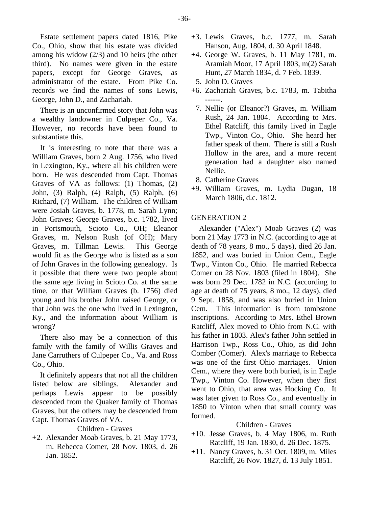Estate settlement papers dated 1816, Pike Co., Ohio, show that his estate was divided among his widow (2/3) and 10 heirs (the other third). No names were given in the estate papers, except for George Graves, as administrator of the estate. From Pike Co. records we find the names of sons Lewis, George, John D., and Zachariah.

There is an unconfirmed story that John was a wealthy landowner in Culpeper Co., Va. However, no records have been found to substantiate this.

It is interesting to note that there was a William Graves, born 2 Aug. 1756, who lived in Lexington, Ky., where all his children were born. He was descended from Capt. Thomas Graves of VA as follows: (1) Thomas, (2) John, (3) Ralph, (4) Ralph, (5) Ralph, (6) Richard, (7) William. The children of William were Josiah Graves, b. 1778, m. Sarah Lynn; John Graves; George Graves, b.c. 1782, lived in Portsmouth, Scioto Co., OH; Eleanor Graves, m. Nelson Rush (of OH); Mary Graves, m. Tillman Lewis. This George would fit as the George who is listed as a son of John Graves in the following genealogy. Is it possible that there were two people about the same age living in Scioto Co. at the same time, or that William Graves (b. 1756) died young and his brother John raised George, or that John was the one who lived in Lexington, Ky., and the information about William is wrong?

There also may be a connection of this family with the family of Willis Graves and Jane Carruthers of Culpeper Co., Va. and Ross Co., Ohio.

It definitely appears that not all the children listed below are siblings. Alexander and perhaps Lewis appear to be possibly descended from the Quaker family of Thomas Graves, but the others may be descended from Capt. Thomas Graves of VA.

## Children - Graves

+2. Alexander Moab Graves, b. 21 May 1773, m. Rebecca Comer, 28 Nov. 1803, d. 26 Jan. 1852.

- +3. Lewis Graves, b.c. 1777, m. Sarah Hanson, Aug. 1804, d. 30 April 1848.
- +4. George W. Graves, b. 11 May 1781, m. Aramiah Moor, 17 April 1803, m(2) Sarah Hunt, 27 March 1834, d. 7 Feb. 1839.
- 5. John D. Graves
- +6. Zachariah Graves, b.c. 1783, m. Tabitha ------.
	- 7. Nellie (or Eleanor?) Graves, m. William Rush, 24 Jan. 1804. According to Mrs. Ethel Ratcliff, this family lived in Eagle Twp., Vinton Co., Ohio. She heard her father speak of them. There is still a Rush Hollow in the area, and a more recent generation had a daughter also named Nellie.
- 8. Catherine Graves
- +9. William Graves, m. Lydia Dugan, 18 March 1806, d.c. 1812.

## GENERATION 2

Alexander ("Alex") Moab Graves (2) was born 21 May 1773 in N.C. (according to age at death of 78 years, 8 mo., 5 days), died 26 Jan. 1852, and was buried in Union Cem., Eagle Twp., Vinton Co., Ohio. He married Rebecca Comer on 28 Nov. 1803 (filed in 1804). She was born 29 Dec. 1782 in N.C. (according to age at death of 75 years, 8 mo., 12 days), died 9 Sept. 1858, and was also buried in Union Cem. This information is from tombstone inscriptions. According to Mrs. Ethel Brown Ratcliff, Alex moved to Ohio from N.C. with his father in 1803. Alex's father John settled in Harrison Twp., Ross Co., Ohio, as did John Comber (Comer). Alex's marriage to Rebecca was one of the first Ohio marriages. Union Cem., where they were both buried, is in Eagle Twp., Vinton Co. However, when they first went to Ohio, that area was Hocking Co. It was later given to Ross Co., and eventually in 1850 to Vinton when that small county was formed.

## Children - Graves

- +10. Jesse Graves, b. 4 May 1806, m. Ruth Ratcliff, 19 Jan. 1830, d. 26 Dec. 1875.
- +11. Nancy Graves, b. 31 Oct. 1809, m. Miles Ratcliff, 26 Nov. 1827, d. 13 July 1851.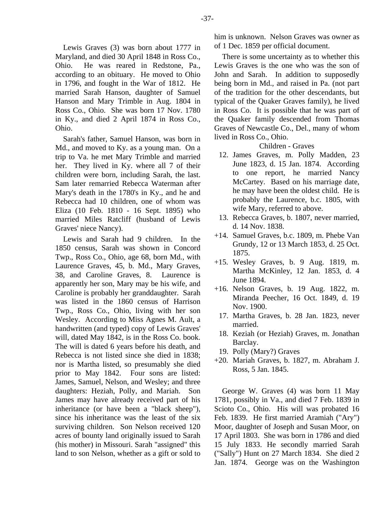Lewis Graves (3) was born about 1777 in Maryland, and died 30 April 1848 in Ross Co., Ohio. He was reared in Redstone, Pa., according to an obituary. He moved to Ohio in 1796, and fought in the War of 1812. He married Sarah Hanson, daughter of Samuel Hanson and Mary Trimble in Aug. 1804 in Ross Co., Ohio. She was born 17 Nov. 1780 in Ky., and died 2 April 1874 in Ross Co., Ohio.

Sarah's father, Samuel Hanson, was born in Md., and moved to Ky. as a young man. On a trip to Va. he met Mary Trimble and married her. They lived in Ky. where all 7 of their children were born, including Sarah, the last. Sam later remarried Rebecca Waterman after Mary's death in the 1780's in Ky., and he and Rebecca had 10 children, one of whom was Eliza (10 Feb. 1810 - 16 Sept. 1895) who married Miles Ratcliff (husband of Lewis Graves' niece Nancy).

Lewis and Sarah had 9 children. In the 1850 census, Sarah was shown in Concord Twp., Ross Co., Ohio, age 68, born Md., with Laurence Graves, 45, b. Md., Mary Graves, 38, and Caroline Graves, 8. Laurence is apparently her son, Mary may be his wife, and Caroline is probably her granddaughter. Sarah was listed in the 1860 census of Harrison Twp., Ross Co., Ohio, living with her son Wesley. According to Miss Agnes M. Ault, a handwritten (and typed) copy of Lewis Graves' will, dated May 1842, is in the Ross Co. book. The will is dated 6 years before his death, and Rebecca is not listed since she died in 1838; nor is Martha listed, so presumably she died prior to May 1842. Four sons are listed: James, Samuel, Nelson, and Wesley; and three daughters: Heziah, Polly, and Mariah. Son James may have already received part of his inheritance (or have been a "black sheep"), since his inheritance was the least of the six surviving children. Son Nelson received 120 acres of bounty land originally issued to Sarah (his mother) in Missouri. Sarah "assigned" this land to son Nelson, whether as a gift or sold to

him is unknown. Nelson Graves was owner as of 1 Dec. 1859 per official document.

There is some uncertainty as to whether this Lewis Graves is the one who was the son of John and Sarah. In addition to supposedly being born in Md., and raised in Pa. (not part of the tradition for the other descendants, but typical of the Quaker Graves family), he lived in Ross Co. It is possible that he was part of the Quaker family descended from Thomas Graves of Newcastle Co., Del., many of whom lived in Ross Co., Ohio.

Children - Graves

- 12. James Graves, m. Polly Madden, 23 June 1823, d. 15 Jan. 1874. According to one report, he married Nancy McCartey. Based on his marriage date, he may have been the oldest child. He is probably the Laurence, b.c. 1805, with wife Mary, referred to above.
- 13. Rebecca Graves, b. 1807, never married, d. 14 Nov. 1838.
- +14. Samuel Graves, b.c. 1809, m. Phebe Van Grundy, 12 or 13 March 1853, d. 25 Oct. 1875.
- +15. Wesley Graves, b. 9 Aug. 1819, m. Martha McKinley, 12 Jan. 1853, d. 4 June 1894.
- +16. Nelson Graves, b. 19 Aug. 1822, m. Miranda Peecher, 16 Oct. 1849, d. 19 Nov. 1900.
	- 17. Martha Graves, b. 28 Jan. 1823, never married.
- 18. Keziah (or Heziah) Graves, m. Jonathan Barclay.
- 19. Polly (Mary?) Graves
- +20. Mariah Graves, b. 1827, m. Abraham J. Ross, 5 Jan. 1845.

George W. Graves (4) was born 11 May 1781, possibly in Va., and died 7 Feb. 1839 in Scioto Co., Ohio. His will was probated 16 Feb. 1839. He first married Aramiah ("Ary") Moor, daughter of Joseph and Susan Moor, on 17 April 1803. She was born in 1786 and died 15 July 1833. He secondly married Sarah ("Sally") Hunt on 27 March 1834. She died 2 Jan. 1874. George was on the Washington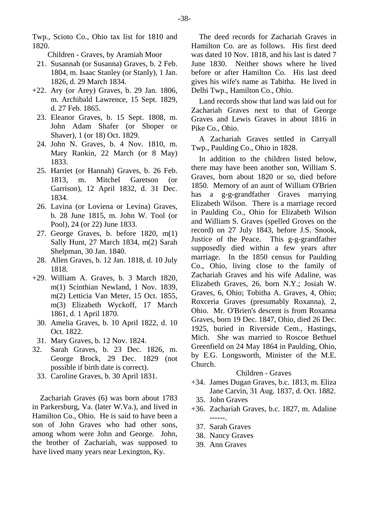-38-

Twp., Scioto Co., Ohio tax list for 1810 and 1820.

Children - Graves, by Aramiah Moor

- 21. Susannah (or Susanna) Graves, b. 2 Feb. 1804, m. Isaac Stanley (or Stanly), 1 Jan. 1826, d. 29 March 1834.
- +22. Ary (or Arey) Graves, b. 29 Jan. 1806, m. Archibald Lawrence, 15 Sept. 1829, d. 27 Feb. 1865.
	- 23. Eleanor Graves, b. 15 Sept. 1808, m. John Adam Shafer (or Shoper or Shaver), 1 (or 18) Oct. 1829.
	- 24. John N. Graves, b. 4 Nov. 1810, m. Mary Rankin, 22 March (or 8 May) 1833.
	- 25. Harriet (or Hannah) Graves, b. 26 Feb. 1813, m. Mitchel Garetson (or Garrison), 12 April 1832, d. 31 Dec. 1834.
	- 26. Lavina (or Loviena or Levina) Graves, b. 28 June 1815, m. John W. Tool (or Pool), 24 (or 22) June 1833.
	- 27. George Graves, b. before 1820, m(1) Sally Hunt, 27 March 1834, m(2) Sarah Shelpman, 30 Jan. 1840.
	- 28. Allen Graves, b. 12 Jan. 1818, d. 10 July 1818.
- +29. William A. Graves, b. 3 March 1820, m(1) Scinthian Newland, 1 Nov. 1839, m(2) Letticia Van Meter, 15 Oct. 1855, m(3) Elizabeth Wyckoff, 17 March 1861, d. 1 April 1870.
	- 30. Amelia Graves, b. 10 April 1822, d. 10 Oct. 1822.
- 31. Mary Graves, b. 12 Nov. 1824.
- 32. Sarah Graves, b. 23 Dec. 1826, m. George Brock, 29 Dec. 1829 (not possible if birth date is correct).
- 33. Caroline Graves, b. 30 April 1831.

Zachariah Graves (6) was born about 1783 in Parkersburg, Va. (later W.Va.), and lived in Hamilton Co., Ohio. He is said to have been a son of John Graves who had other sons, among whom were John and George. John, the brother of Zachariah, was supposed to have lived many years near Lexington, Ky.

The deed records for Zachariah Graves in Hamilton Co. are as follows. His first deed was dated 10 Nov. 1818, and his last is dated 7 June 1830. Neither shows where he lived before or after Hamilton Co. His last deed gives his wife's name as Tabitha. He lived in Delhi Twp., Hamilton Co., Ohio.

Land records show that land was laid out for Zachariah Graves next to that of George Graves and Lewis Graves in about 1816 in Pike Co., Ohio.

A Zachariah Graves settled in Carryall Twp., Paulding Co., Ohio in 1828.

In addition to the children listed below, there may have been another son, William S. Graves, born about 1820 or so, died before 1850. Memory of an aunt of William O'Brien has a g-g-grandfather Graves marrying Elizabeth Wilson. There is a marriage record in Paulding Co., Ohio for Elizabeth Wilson and William S. Graves (spelled Groves on the record) on 27 July 1843, before J.S. Snook, Justice of the Peace. This g-g-grandfather supposedly died within a few years after marriage. In the 1850 census for Paulding Co., Ohio, living close to the family of Zachariah Graves and his wife Adaline, was Elizabeth Graves, 26, born N.Y.; Josiah W. Graves, 6, Ohio; Tobitha A. Graves, 4, Ohio; Roxceria Graves (presumably Roxanna), 2, Ohio. Mr. O'Brien's descent is from Roxanna Graves, born 19 Dec. 1847, Ohio, died 26 Dec. 1925, buried in Riverside Cem., Hastings, Mich. She was married to Roscoe Bethuel Greenfield on 24 May 1864 in Paulding, Ohio, by E.G. Longsworth, Minister of the M.E. Church.

## Children - Graves

- +34. James Dugan Graves, b.c. 1813, m. Eliza Jane Carvin, 31 Aug. 1837, d. Oct. 1882.
- 35. John Graves
- +36. Zachariah Graves, b.c. 1827, m. Adaline ------.
	- 37. Sarah Graves
	- 38. Nancy Graves
	- 39. Ann Graves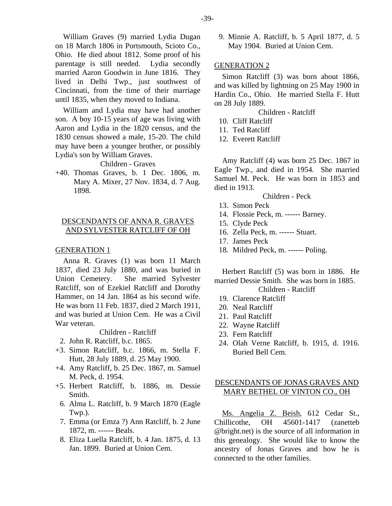William Graves (9) married Lydia Dugan on 18 March 1806 in Portsmouth, Scioto Co., Ohio. He died about 1812. Some proof of his parentage is still needed. Lydia secondly married Aaron Goodwin in June 1816. They lived in Delhi Twp., just southwest of Cincinnati, from the time of their marriage until 1835, when they moved to Indiana.

William and Lydia may have had another son. A boy 10-15 years of age was living with Aaron and Lydia in the 1820 census, and the 1830 census showed a male, 15-20. The child may have been a younger brother, or possibly Lydia's son by William Graves.

#### Children - Graves

+40. Thomas Graves, b. 1 Dec. 1806, m. Mary A. Mixer, 27 Nov. 1834, d. 7 Aug. 1898.

## DESCENDANTS OF ANNA R. GRAVES AND SYLVESTER RATCLIFF OF OH

#### GENERATION 1

Anna R. Graves (1) was born 11 March 1837, died 23 July 1880, and was buried in Union Cemetery. She married Sylvester Ratcliff, son of Ezekiel Ratcliff and Dorothy Hammer, on 14 Jan. 1864 as his second wife. He was born 11 Feb. 1837, died 2 March 1911, and was buried at Union Cem. He was a Civil War veteran.

Children - Ratcliff

- 2. John R. Ratcliff, b.c. 1865.
- +3. Simon Ratcliff, b.c. 1866, m. Stella F. Hutt, 28 July 1889, d. 25 May 1900.
- +4. Amy Ratcliff, b. 25 Dec. 1867, m. Samuel M. Peck, d. 1954.
- +5. Herbert Ratcliff, b. 1886, m. Dessie Smith.
	- 6. Alma L. Ratcliff, b. 9 March 1870 (Eagle Twp.).
	- 7. Emma (or Emza ?) Ann Ratcliff, b. 2 June 1872, m. ------ Beals.
	- 8. Eliza Luella Ratcliff, b. 4 Jan. 1875, d. 13 Jan. 1899. Buried at Union Cem.

 9. Minnie A. Ratcliff, b. 5 April 1877, d. 5 May 1904. Buried at Union Cem.

#### GENERATION 2

Simon Ratcliff (3) was born about 1866, and was killed by lightning on 25 May 1900 in Hardin Co., Ohio. He married Stella F. Hutt on 28 July 1889.

Children - Ratcliff

- 10. Cliff Ratcliff
- 11. Ted Ratcliff
- 12. Everett Ratcliff

Amy Ratcliff (4) was born 25 Dec. 1867 in Eagle Twp., and died in 1954. She married Samuel M. Peck. He was born in 1853 and died in 1913.

Children - Peck

- 13. Simon Peck
- 14. Flossie Peck, m. ------ Barney.
- 15. Clyde Peck
- 16. Zella Peck, m. ------ Stuart.
- 17. James Peck
- 18. Mildred Peck, m. ------ Poling.

Herbert Ratcliff (5) was born in 1886. He married Dessie Smith. She was born in 1885.

Children - Ratcliff

- 19. Clarence Ratcliff
- 20. Neal Ratcliff
- 21. Paul Ratcliff
- 22. Wayne Ratcliff
- 23. Fern Ratcliff
- 24. Olah Verne Ratcliff, b. 1915, d. 1916. Buried Bell Cem.

## DESCENDANTS OF JONAS GRAVES AND MARY BETHEL OF VINTON CO., OH

Ms. Angelia Z. Beish, 612 Cedar St., Chillicothe, OH 45601-1417 (zanetteb @bright.net) is the source of all information in this genealogy. She would like to know the ancestry of Jonas Graves and how he is connected to the other families.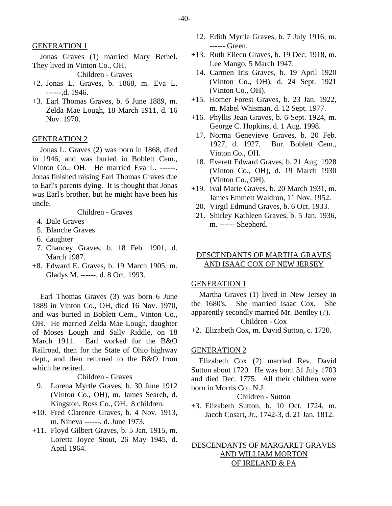Jonas Graves (1) married Mary Bethel. They lived in Vinton Co., OH.

Children - Graves

- +2. Jonas L. Graves, b. 1868, m. Eva L. ------,d. 1946.
- +3. Earl Thomas Graves, b. 6 June 1889, m. Zelda Mae Lough, 18 March 1911, d. 16 Nov. 1970.

#### GENERATION 2

Jonas L. Graves (2) was born in 1868, died in 1946, and was buried in Boblett Cem., Vinton Co., OH. He married Eva L. ------. Jonas finished raising Earl Thomas Graves due to Earl's parents dying. It is thought that Jonas was Earl's brother, but he might have been his uncle.

Children - Graves

- 4. Dale Graves
- 5. Blanche Graves
- 6. daughter
- 7. Chancey Graves, b. 18 Feb. 1901, d. March 1987.
- +8. Edward E. Graves, b. 19 March 1905, m. Gladys M. ------, d. 8 Oct. 1993.

Earl Thomas Graves (3) was born 6 June 1889 in Vinton Co., OH, died 16 Nov. 1970, and was buried in Boblett Cem., Vinton Co., OH. He married Zelda Mae Lough, daughter of Moses Lough and Sally Riddle, on 18 March 1911. Earl worked for the B&O Railroad, then for the State of Ohio highway dept., and then returned to the B&O from which he retired.

## Children - Graves

- 9. Lorena Myrtle Graves, b. 30 June 1912 (Vinton Co., OH), m. James Search, d. Kingston, Ross Co., OH. 8 children.
- +10. Fred Clarence Graves, b. 4 Nov. 1913, m. Nineva ------, d. June 1973.
- +11. Floyd Gilbert Graves, b. 5 Jan. 1915, m. Loretta Joyce Stout, 26 May 1945, d. April 1964.
- 12. Edith Myrtle Graves, b. 7 July 1916, m. ------ Green.
- +13. Ruth Eileen Graves, b. 19 Dec. 1918, m. Lee Mango, 5 March 1947.
- 14. Carmen Iris Graves, b. 19 April 1920 (Vinton Co., OH), d. 24 Sept. 1921 (Vinton Co., OH).
- +15. Homer Forest Graves, b. 23 Jan. 1922, m. Mabel Whisman, d. 12 Sept. 1977.
- +16. Phyllis Jean Graves, b. 6 Sept. 1924, m. George C. Hopkins, d. 1 Aug. 1998.
	- 17. Norma Genevieve Graves, b. 20 Feb. 1927, d. 1927. Bur. Boblett Cem., Vinton Co., OH.
	- 18. Everett Edward Graves, b. 21 Aug. 1928 (Vinton Co., OH), d. 19 March 1930 (Vinton Co., OH).
- +19. Ival Marie Graves, b. 20 March 1931, m. James Emmett Waldron, 11 Nov. 1952.
	- 20. Virgil Edmund Graves, b. 6 Oct. 1933.
	- 21. Shirley Kathleen Graves, b. 5 Jan. 1936, m. ------ Shepherd.

#### DESCENDANTS OF MARTHA GRAVES AND ISAAC COX OF NEW JERSEY

#### GENERATION 1

Martha Graves (1) lived in New Jersey in the 1680's. She married Isaac Cox. She apparently secondly married Mr. Bentley (?). Children - Cox

+2. Elizabeth Cox, m. David Sutton, c. 1720.

#### GENERATION 2

Elizabeth Cox (2) married Rev. David Sutton about 1720. He was born 31 July 1703 and died Dec. 1775. All their children were born in Morris Co., N.J.

## Children - Sutton

+3. Elizabeth Sutton, b. 10 Oct. 1724, m. Jacob Cosart, Jr., 1742-3, d. 21 Jan. 1812.

## DESCENDANTS OF MARGARET GRAVES AND WILLIAM MORTON OF IRELAND & PA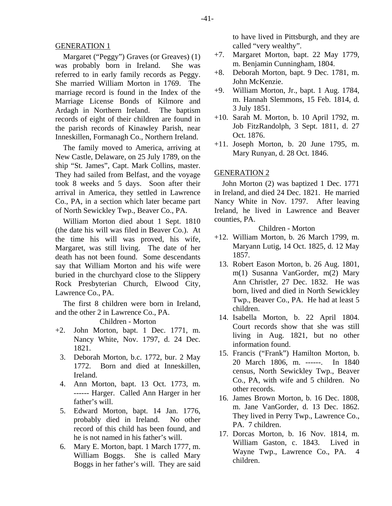Margaret ("Peggy") Graves (or Greaves) (1) was probably born in Ireland. She was referred to in early family records as Peggy. She married William Morton in 1769. The marriage record is found in the Index of the Marriage License Bonds of Kilmore and Ardagh in Northern Ireland. The baptism records of eight of their children are found in the parish records of Kinawley Parish, near Inneskillen, Formanagh Co., Northern Ireland.

The family moved to America, arriving at New Castle, Delaware, on 25 July 1789, on the ship "St. James", Capt. Mark Collins, master. They had sailed from Belfast, and the voyage took 8 weeks and 5 days. Soon after their arrival in America, they settled in Lawrence Co., PA, in a section which later became part of North Sewickley Twp., Beaver Co., PA.

William Morton died about 1 Sept. 1810 (the date his will was filed in Beaver Co.). At the time his will was proved, his wife, Margaret, was still living. The date of her death has not been found. Some descendants say that William Morton and his wife were buried in the churchyard close to the Slippery Rock Presbyterian Church, Elwood City, Lawrence Co., PA.

The first 8 children were born in Ireland, and the other 2 in Lawrence Co., PA.

Children - Morton

- +2. John Morton, bapt. 1 Dec. 1771, m. Nancy White, Nov. 1797, d. 24 Dec. 1821.
	- 3. Deborah Morton, b.c. 1772, bur. 2 May 1772. Born and died at Inneskillen, Ireland.
	- 4. Ann Morton, bapt. 13 Oct. 1773, m. ------ Harger. Called Ann Harger in her father's will.
	- 5. Edward Morton, bapt. 14 Jan. 1776, probably died in Ireland. No other record of this child has been found, and he is not named in his father's will.
	- 6. Mary E. Morton, bapt. 1 March 1777, m. William Boggs. She is called Mary Boggs in her father's will. They are said

to have lived in Pittsburgh, and they are called "very wealthy".

- +7. Margaret Morton, bapt. 22 May 1779, m. Benjamin Cunningham, 1804.
- +8. Deborah Morton, bapt. 9 Dec. 1781, m. John McKenzie.
- +9. William Morton, Jr., bapt. 1 Aug. 1784, m. Hannah Slemmons, 15 Feb. 1814, d. 3 July 1851.
- +10. Sarah M. Morton, b. 10 April 1792, m. Job FitzRandolph, 3 Sept. 1811, d. 27 Oct. 1876.
- +11. Joseph Morton, b. 20 June 1795, m. Mary Runyan, d. 28 Oct. 1846.

## GENERATION 2

John Morton (2) was baptized 1 Dec. 1771 in Ireland, and died 24 Dec. 1821. He married Nancy White in Nov. 1797. After leaving Ireland, he lived in Lawrence and Beaver counties, PA.

Children - Morton

- +12. William Morton, b. 26 March 1799, m. Maryann Lutig, 14 Oct. 1825, d. 12 May 1857.
	- 13. Robert Eason Morton, b. 26 Aug. 1801, m(1) Susanna VanGorder, m(2) Mary Ann Christler, 27 Dec. 1832. He was born, lived and died in North Sewickley Twp., Beaver Co., PA. He had at least 5 children.
- 14. Isabella Morton, b. 22 April 1804. Court records show that she was still living in Aug. 1821, but no other information found.
- 15. Francis ("Frank") Hamilton Morton, b. 20 March 1806, m. ------. In 1840 census, North Sewickley Twp., Beaver Co., PA, with wife and 5 children. No other records.
- 16. James Brown Morton, b. 16 Dec. 1808, m. Jane VanGorder, d. 13 Dec. 1862. They lived in Perry Twp., Lawrence Co., PA. 7 children.
- 17. Dorcas Morton, b. 16 Nov. 1814, m. William Gaston, c. 1843. Lived in Wayne Twp., Lawrence Co., PA. 4 children.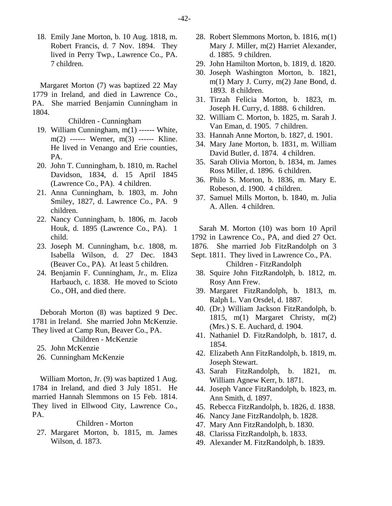18. Emily Jane Morton, b. 10 Aug. 1818, m. Robert Francis, d. 7 Nov. 1894. They lived in Perry Twp., Lawrence Co., PA. 7 children.

Margaret Morton (7) was baptized 22 May 1779 in Ireland, and died in Lawrence Co., PA. She married Benjamin Cunningham in 1804.

Children - Cunningham

- 19. William Cunningham, m(1) ------ White, m(2) ------ Werner, m(3) ------ Kline. He lived in Venango and Erie counties, PA.
- 20. John T. Cunningham, b. 1810, m. Rachel Davidson, 1834, d. 15 April 1845 (Lawrence Co., PA). 4 children.
- 21. Anna Cunningham, b. 1803, m. John Smiley, 1827, d. Lawrence Co., PA. 9 children.
- 22. Nancy Cunningham, b. 1806, m. Jacob Houk, d. 1895 (Lawrence Co., PA). 1 child.
- 23. Joseph M. Cunningham, b.c. 1808, m. Isabella Wilson, d. 27 Dec. 1843 (Beaver Co., PA). At least 5 children.
- 24. Benjamin F. Cunningham, Jr., m. Eliza Harbauch, c. 1838. He moved to Scioto Co., OH, and died there.

Deborah Morton (8) was baptized 9 Dec. 1781 in Ireland. She married John McKenzie. They lived at Camp Run, Beaver Co., PA.

Children - McKenzie

- 25. John McKenzie
- 26. Cunningham McKenzie

William Morton, Jr. (9) was baptized 1 Aug. 1784 in Ireland, and died 3 July 1851. He married Hannah Slemmons on 15 Feb. 1814. They lived in Ellwood City, Lawrence Co., PA.

## Children - Morton

 27. Margaret Morton, b. 1815, m. James Wilson, d. 1873.

- 28. Robert Slemmons Morton, b. 1816, m(1) Mary J. Miller, m(2) Harriet Alexander, d. 1885. 9 children.
- 29. John Hamilton Morton, b. 1819, d. 1820.
- 30. Joseph Washington Morton, b. 1821, m(1) Mary J. Curry, m(2) Jane Bond, d. 1893. 8 children.
- 31. Tirzah Felicia Morton, b. 1823, m. Joseph H. Curry, d. 1888. 6 children.
- 32. William C. Morton, b. 1825, m. Sarah J. Van Eman, d. 1905. 7 children.
- 33. Hannah Anne Morton, b. 1827, d. 1901.
- 34. Mary Jane Morton, b. 1831, m. William David Butler, d. 1874. 4 children.
- 35. Sarah Olivia Morton, b. 1834, m. James Ross Miller, d. 1896. 6 children.
- 36. Philo S. Morton, b. 1836, m. Mary E. Robeson, d. 1900. 4 children.
- 37. Samuel Mills Morton, b. 1840, m. Julia A. Allen. 4 children.

Sarah M. Morton (10) was born 10 April 1792 in Lawrence Co., PA, and died 27 Oct.

1876. She married Job FitzRandolph on 3

- Sept. 1811. They lived in Lawrence Co., PA. Children - FitzRandolph
- 38. Squire John FitzRandolph, b. 1812, m. Rosy Ann Frew.
- 39. Margaret FitzRandolph, b. 1813, m. Ralph L. Van Orsdel, d. 1887.
- 40. (Dr.) William Jackson FitzRandolph, b. 1815, m(1) Margaret Christy, m(2) (Mrs.) S. E. Auchard, d. 1904.
- 41. Nathaniel D. FitzRandolph, b. 1817, d. 1854.
- 42. Elizabeth Ann FitzRandolph, b. 1819, m. Joseph Stewart.
- 43. Sarah FitzRandolph, b. 1821, m. William Agnew Kerr, b. 1871.
- 44. Joseph Vance FitzRandolph, b. 1823, m. Ann Smith, d. 1897.
- 45. Rebecca FitzRandolph, b. 1826, d. 1838.
- 46. Nancy Jane FitzRandolph, b. 1828.
- 47. Mary Ann FitzRandolph, b. 1830.
- 48. Clarissa FitzRandolph, b. 1833.
- 49. Alexander M. FitzRandolph, b. 1839.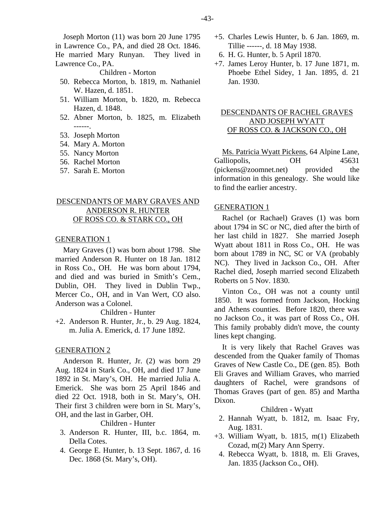Joseph Morton (11) was born 20 June 1795 in Lawrence Co., PA, and died 28 Oct. 1846. He married Mary Runyan. They lived in Lawrence Co., PA.

Children - Morton

- 50. Rebecca Morton, b. 1819, m. Nathaniel W. Hazen, d. 1851.
- 51. William Morton, b. 1820, m. Rebecca Hazen, d. 1848.
- 52. Abner Morton, b. 1825, m. Elizabeth ------.
- 53. Joseph Morton
- 54. Mary A. Morton
- 55. Nancy Morton
- 56. Rachel Morton
- 57. Sarah E. Morton

## DESCENDANTS OF MARY GRAVES AND ANDERSON R. HUNTER OF ROSS CO. & STARK CO., OH

#### GENERATION 1

Mary Graves (1) was born about 1798. She married Anderson R. Hunter on 18 Jan. 1812 in Ross Co., OH. He was born about 1794, and died and was buried in Smith's Cem., Dublin, OH. They lived in Dublin Twp., Mercer Co., OH, and in Van Wert, CO also. Anderson was a Colonel.

Children - Hunter

+2. Anderson R. Hunter, Jr., b. 29 Aug. 1824, m. Julia A. Emerick, d. 17 June 1892.

#### GENERATION 2

Anderson R. Hunter, Jr. (2) was born 29 Aug. 1824 in Stark Co., OH, and died 17 June 1892 in St. Mary's, OH. He married Julia A. Emerick. She was born 25 April 1846 and died 22 Oct. 1918, both in St. Mary's, OH. Their first 3 children were born in St. Mary's, OH, and the last in Garber, OH.

#### Children - Hunter

- 3. Anderson R. Hunter, III, b.c. 1864, m. Della Cotes.
- 4. George E. Hunter, b. 13 Sept. 1867, d. 16 Dec. 1868 (St. Mary's, OH).
- +5. Charles Lewis Hunter, b. 6 Jan. 1869, m. Tillie ------, d. 18 May 1938.
	- 6. H. G. Hunter, b. 5 April 1870.
- +7. James Leroy Hunter, b. 17 June 1871, m. Phoebe Ethel Sidey, 1 Jan. 1895, d. 21 Jan. 1930.

## DESCENDANTS OF RACHEL GRAVES AND JOSEPH WYATT OF ROSS CO. & JACKSON CO., OH

Ms. Patricia Wyatt Pickens, 64 Alpine Lane, Galliopolis, OH 45631 (pickens@zoomnet.net) provided the information in this genealogy. She would like to find the earlier ancestry.

#### GENERATION 1

Rachel (or Rachael) Graves (1) was born about 1794 in SC or NC, died after the birth of her last child in 1827. She married Joseph Wyatt about 1811 in Ross Co., OH. He was born about 1789 in NC, SC or VA (probably NC). They lived in Jackson Co., OH. After Rachel died, Joseph married second Elizabeth Roberts on 5 Nov. 1830.

Vinton Co., OH was not a county until 1850. It was formed from Jackson, Hocking and Athens counties. Before 1820, there was no Jackson Co., it was part of Ross Co., OH. This family probably didn't move, the county lines kept changing.

It is very likely that Rachel Graves was descended from the Quaker family of Thomas Graves of New Castle Co., DE (gen. 85). Both Eli Graves and William Graves, who married daughters of Rachel, were grandsons of Thomas Graves (part of gen. 85) and Martha Dixon.

Children - Wyatt

- 2. Hannah Wyatt, b. 1812, m. Isaac Fry, Aug. 1831.
- +3. William Wyatt, b. 1815, m(1) Elizabeth Cozad, m(2) Mary Ann Sperry.
- 4. Rebecca Wyatt, b. 1818, m. Eli Graves, Jan. 1835 (Jackson Co., OH).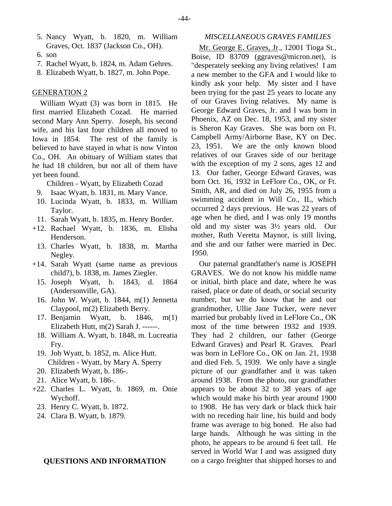- 5. Nancy Wyatt, b. 1820, m. William Graves, Oct. 1837 (Jackson Co., OH).
- 6. son
- 7. Rachel Wyatt, b. 1824, m. Adam Gehres.
- 8. Elizabeth Wyatt, b. 1827, m. John Pope.

William Wyatt (3) was born in 1815. He first married Elizabeth Cozad. He married second Mary Ann Sperry. Joseph, his second wife, and his last four children all moved to Iowa in 1854. The rest of the family is believed to have stayed in what is now Vinton Co., OH. An obituary of William states that he had 18 children, but not all of them have yet been found.

Children - Wyatt, by Elizabeth Cozad

- 9. Isaac Wyatt, b. 1831, m. Mary Vance.
- 10. Lucinda Wyatt, b. 1833, m. William Taylor.
- 11. Sarah Wyatt, b. 1835, m. Henry Border.
- +12. Rachael Wyatt, b. 1836, m. Elisha Henderson.
	- 13. Charles Wyatt, b. 1838, m. Martha Negley.
- +14. Sarah Wyatt (same name as previous child?), b. 1838, m. James Ziegler.
	- 15. Joseph Wyatt, b. 1843, d. 1864 (Andersonville, GA).
	- 16. John W. Wyatt, b. 1844, m(1) Jennetta Claypool, m(2) Elizabeth Berry.
	- 17. Benjamin Wyatt, b. 1846, m(1) Elizabeth Hutt, m(2) Sarah J. ------.
	- 18. William A. Wyatt, b. 1848, m. Lucreatia Fry.
	- 19. Job Wyatt, b. 1852, m. Alice Hutt. Children - Wyatt, by Mary A. Sperry
	- 20. Elizabeth Wyatt, b. 186-.
	- 21. Alice Wyatt, b. 186-.
- +22. Charles L. Wyatt, b. 1869, m. Onie Wychoff.
	- 23. Henry C. Wyatt, b. 1872.
	- 24. Clara B. Wyatt, b. 1879.

#### **QUESTIONS AND INFORMATION**

#### *MISCELLANEOUS GRAVES FAMILIES*

Mr. George E. Graves, Jr., 12001 Tioga St., Boise, ID 83709 (ggraves@micron.net), is "desperately seeking any living relatives! I am a new member to the GFA and I would like to kindly ask your help. My sister and I have been trying for the past 25 years to locate any of our Graves living relatives. My name is George Edward Graves, Jr. and I was born in Phoenix, AZ on Dec. 18, 1953, and my sister is Sheron Kay Graves. She was born on Ft. Campbell Army/Airborne Base, KY on Dec. 23, 1951. We are the only known blood relatives of our Graves side of our heritage with the exception of my 2 sons, ages 12 and 13. Our father, George Edward Graves, was born Oct. 16, 1932 in LeFlore Co., OK, or Ft. Smith, AR, and died on July 26, 1955 from a swimming accident in Will Co., IL, which occurred 2 days previous. He was 22 years of age when he died, and I was only 19 months old and my sister was 3½ years old. Our mother, Ruth Veretta Maynor, is still living, and she and our father were married in Dec. 1950.

Our paternal grandfather's name is JOSEPH GRAVES. We do not know his middle name or initial, birth place and date, where he was raised, place or date of death, or social security number, but we do know that he and our grandmother, Ullie Jane Tucker, were never married but probably lived in LeFlore Co., OK most of the time between 1932 and 1939. They had 2 children, our father (George Edward Graves) and Pearl R. Graves. Pearl was born in LeFlore Co., OK on Jan. 21, 1938 and died Feb. 5, 1939. We only have a single picture of our grandfather and it was taken around 1938. From the photo, our grandfather appears to be about 32 to 38 years of age which would make his birth year around 1900 to 1908. He has very dark or black thick hair with no receding hair line, his build and body frame was average to big boned. He also had large hands. Although he was sitting in the photo, he appears to be around 6 feet tall. He served in World War I and was assigned duty on a cargo freighter that shipped horses to and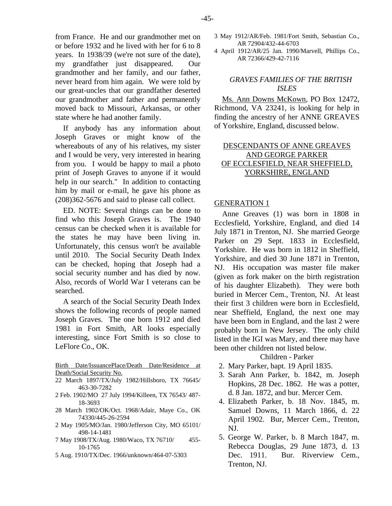from France. He and our grandmother met on or before 1932 and he lived with her for 6 to 8 years. In 1938/39 (we're not sure of the date), my grandfather just disappeared. Our grandmother and her family, and our father, never heard from him again. We were told by our great-uncles that our grandfather deserted our grandmother and father and permanently moved back to Missouri, Arkansas, or other state where he had another family.

If anybody has any information about Joseph Graves or might know of the whereabouts of any of his relatives, my sister and I would be very, very interested in hearing from you. I would be happy to mail a photo print of Joseph Graves to anyone if it would help in our search." In addition to contacting him by mail or e-mail, he gave his phone as (208)362-5676 and said to please call collect.

ED. NOTE: Several things can be done to find who this Joseph Graves is. The 1940 census can be checked when it is available for the states he may have been living in. Unfortunately, this census won't be available until 2010. The Social Security Death Index can be checked, hoping that Joseph had a social security number and has died by now. Also, records of World War I veterans can be searched.

A search of the Social Security Death Index shows the following records of people named Joseph Graves. The one born 1912 and died 1981 in Fort Smith, AR looks especially interesting, since Fort Smith is so close to LeFlore Co., OK.

Birth Date/IssuancePlace/Death Date/Residence at Death/Social Security No.

- 22 March 1897/TX/July 1982/Hillsboro, TX 76645/ 463-30-7282
- 2 Feb. 1902/MO 27 July 1994/Killeen, TX 76543/ 487- 18-3693
- 28 March 1902/OK/Oct. 1968/Adair, Maye Co., OK 74330/445-26-2594
- 2 May 1905/MO/Jan. 1980/Jefferson City, MO 65101/ 498-14-1481
- 7 May 1908/TX/Aug. 1980/Waco, TX 76710/ 455- 10-1765
- 5 Aug. 1910/TX/Dec. 1966/unknown/464-07-5303
- 3 May 1912/AR/Feb. 1981/Fort Smith, Sebastian Co., AR 72904/432-44-6703
- 4 April 1912/AR/25 Jan. 1990/Marvell, Phillips Co., AR 72366/429-42-7116

## *GRAVES FAMILIES OF THE BRITISH ISLES*

Ms. Ann Downs McKown, PO Box 12472, Richmond, VA 23241, is looking for help in finding the ancestry of her ANNE GREAVES of Yorkshire, England, discussed below.

## DESCENDANTS OF ANNE GREAVES AND GEORGE PARKER OF ECCLESFIELD, NEAR SHEFFIELD, YORKSHIRE, ENGLAND

#### GENERATION 1

Anne Greaves (1) was born in 1808 in Ecclesfield, Yorkshire, England, and died 14 July 1871 in Trenton, NJ. She married George Parker on 29 Sept. 1833 in Ecclesfield, Yorkshire. He was born in 1812 in Sheffield, Yorkshire, and died 30 June 1871 in Trenton, NJ. His occupation was master file maker (given as fork maker on the birth registration of his daughter Elizabeth). They were both buried in Mercer Cem., Trenton, NJ. At least their first 3 children were born in Ecclesfield, near Sheffield, England, the next one may have been born in England, and the last 2 were probably born in New Jersey. The only child listed in the IGI was Mary, and there may have been other children not listed below.

Children - Parker

- 2. Mary Parker, bapt. 19 April 1835.
- 3. Sarah Ann Parker, b. 1842, m. Joseph Hopkins, 28 Dec. 1862. He was a potter, d. 8 Jan. 1872, and bur. Mercer Cem.
- 4. Elizabeth Parker, b. 18 Nov. 1845, m. Samuel Downs, 11 March 1866, d. 22 April 1902. Bur, Mercer Cem., Trenton, NJ.
- 5. George W. Parker, b. 8 March 1847, m. Rebecca Douglas, 29 June 1873, d. 13 Dec. 1911. Bur. Riverview Cem. Trenton, NJ.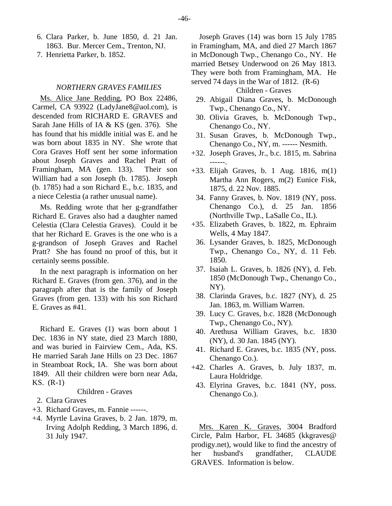- 6. Clara Parker, b. June 1850, d. 21 Jan. 1863. Bur. Mercer Cem., Trenton, NJ.
- 7. Henrietta Parker, b. 1852.

#### *NORTHERN GRAVES FAMILIES*

Ms. Alice Jane Redding, PO Box 22486, Carmel, CA 93922 (LadyJane8@aol.com), is descended from RICHARD E. GRAVES and Sarah Jane Hills of IA & KS (gen. 376). She has found that his middle initial was E. and he was born about 1835 in NY. She wrote that Cora Graves Hoff sent her some information about Joseph Graves and Rachel Pratt of Framingham, MA (gen. 133). Their son William had a son Joseph (b. 1785). Joseph (b. 1785) had a son Richard E., b.c. 1835, and a niece Celestia (a rather unusual name).

Ms. Redding wrote that her g-grandfather Richard E. Graves also had a daughter named Celestia (Clara Celestia Graves). Could it be that her Richard E. Graves is the one who is a g-grandson of Joseph Graves and Rachel Pratt? She has found no proof of this, but it certainly seems possible.

In the next paragraph is information on her Richard E. Graves (from gen. 376), and in the paragraph after that is the family of Joseph Graves (from gen. 133) with his son Richard E. Graves as #41.

Richard E. Graves (1) was born about 1 Dec. 1836 in NY state, died 23 March 1880, and was buried in Fairview Cem., Ada, KS. He married Sarah Jane Hills on 23 Dec. 1867 in Steamboat Rock, IA. She was born about 1849. All their children were born near Ada, KS. (R-1)

## Children - Graves

- 2. Clara Graves
- +3. Richard Graves, m. Fannie ------.
- +4. Myrtle Lavina Graves, b. 2 Jan. 1879, m. Irving Adolph Redding, 3 March 1896, d. 31 July 1947.

Joseph Graves (14) was born 15 July 1785 in Framingham, MA, and died 27 March 1867 in McDonough Twp., Chenango Co., NY. He married Betsey Underwood on 26 May 1813. They were both from Framingham, MA. He served 74 days in the War of 1812. (R-6)

#### Children - Graves

- 29. Abigail Diana Graves, b. McDonough Twp., Chenango Co., NY.
- 30. Olivia Graves, b. McDonough Twp., Chenango Co., NY.
- 31. Susan Graves, b. McDonough Twp., Chenango Co., NY, m. ------ Nesmith.
- +32. Joseph Graves, Jr., b.c. 1815, m. Sabrina ------.
- +33. Elijah Graves, b. 1 Aug. 1816, m(1) Martha Ann Rogers, m(2) Eunice Fisk, 1875, d. 22 Nov. 1885.
	- 34. Fanny Graves, b. Nov. 1819 (NY, poss. Chenango Co.), d. 25 Jan. 1856 (Northville Twp., LaSalle Co., IL).
- +35. Elizabeth Graves, b. 1822, m. Ephraim Wells, 4 May 1847.
	- 36. Lysander Graves, b. 1825, McDonough Twp., Chenango Co., NY, d. 11 Feb. 1850.
	- 37. Isaiah L. Graves, b. 1826 (NY), d. Feb. 1850 (McDonough Twp., Chenango Co., NY).
	- 38. Clarinda Graves, b.c. 1827 (NY), d. 25 Jan. 1863, m. William Warren.
	- 39. Lucy C. Graves, b.c. 1828 (McDonough Twp., Chenango Co., NY).
	- 40. Arethusa William Graves, b.c. 1830 (NY), d. 30 Jan. 1845 (NY).
	- 41. Richard E. Graves, b.c. 1835 (NY, poss. Chenango Co.).
- +42. Charles A. Graves, b. July 1837, m. Laura Holdridge.
	- 43. Elyrina Graves, b.c. 1841 (NY, poss. Chenango Co.).

Mrs. Karen K. Graves, 3004 Bradford Circle, Palm Harbor, FL 34685 (kkgraves@ prodigy.net), would like to find the ancestry of her husband's grandfather, CLAUDE GRAVES. Information is below.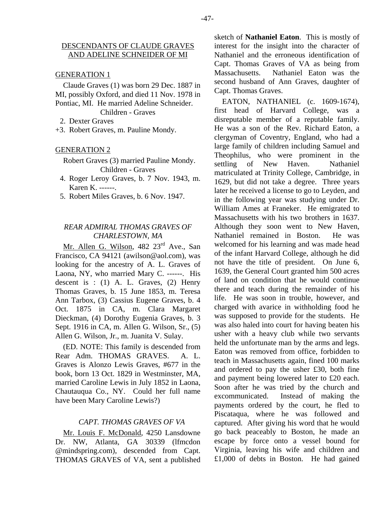Claude Graves (1) was born 29 Dec. 1887 in MI, possibly Oxford, and died 11 Nov. 1978 in Pontiac, MI. He married Adeline Schneider. Children - Graves

- 2. Dexter Graves
- +3. Robert Graves, m. Pauline Mondy.

#### GENERATION 2

Robert Graves (3) married Pauline Mondy. Children - Graves

- 4. Roger Leroy Graves, b. 7 Nov. 1943, m. Karen K. ------.
- 5. Robert Miles Graves, b. 6 Nov. 1947.

## *REAR ADMIRAL THOMAS GRAVES OF CHARLESTOWN, MA*

Mr. Allen G. Wilson, 482 23<sup>rd</sup> Ave., San Francisco, CA 94121 (awilson@aol.com), was looking for the ancestry of A. L. Graves of Laona, NY, who married Mary C. ------. His descent is : (1) A. L. Graves, (2) Henry Thomas Graves, b. 15 June 1853, m. Teresa Ann Tarbox, (3) Cassius Eugene Graves, b. 4 Oct. 1875 in CA, m. Clara Margaret Dieckman, (4) Dorothy Eugenia Graves, b. 3 Sept. 1916 in CA, m. Allen G. Wilson, Sr., (5) Allen G. Wilson, Jr., m. Juanita V. Sulay.

(ED. NOTE: This family is descended from Rear Adm. THOMAS GRAVES. A. L. Graves is Alonzo Lewis Graves, #677 in the book, born 13 Oct. 1829 in Westminster, MA, married Caroline Lewis in July 1852 in Laona, Chautauqua Co., NY. Could her full name have been Mary Caroline Lewis?)

## *CAPT. THOMAS GRAVES OF VA*

Mr. Louis F. McDonald, 4250 Lansdowne Dr. NW, Atlanta, GA 30339 (lfmcdon @mindspring.com), descended from Capt. THOMAS GRAVES of VA, sent a published sketch of **Nathaniel Eaton**. This is mostly of interest for the insight into the character of Nathaniel and the erroneous identification of Capt. Thomas Graves of VA as being from Massachusetts. Nathaniel Eaton was the second husband of Ann Graves, daughter of Capt. Thomas Graves.

EATON, NATHANIEL (c. 1609-1674), first head of Harvard College, was a disreputable member of a reputable family. He was a son of the Rev. Richard Eaton, a clergyman of Coventry, England, who had a large family of children including Samuel and Theophilus, who were prominent in the settling of New Haven. Nathaniel matriculated at Trinity College, Cambridge, in 1629, but did not take a degree. Three years later he received a license to go to Leyden, and in the following year was studying under Dr. William Ames at Franeker. He emigrated to Massachusetts with his two brothers in 1637. Although they soon went to New Haven, Nathaniel remained in Boston. He was welcomed for his learning and was made head of the infant Harvard College, although he did not have the title of president. On June 6, 1639, the General Court granted him 500 acres of land on condition that he would continue there and teach during the remainder of his life. He was soon in trouble, however, and charged with avarice in withholding food he was supposed to provide for the students. He was also haled into court for having beaten his usher with a heavy club while two servants held the unfortunate man by the arms and legs. Eaton was removed from office, forbidden to teach in Massachusetts again, fined 100 marks and ordered to pay the usher £30, both fine and payment being lowered later to £20 each. Soon after he was tried by the church and excommunicated. Instead of making the payments ordered by the court, he fled to Piscataqua, where he was followed and captured. After giving his word that he would go back peaceably to Boston, he made an escape by force onto a vessel bound for Virginia, leaving his wife and children and £1,000 of debts in Boston. He had gained